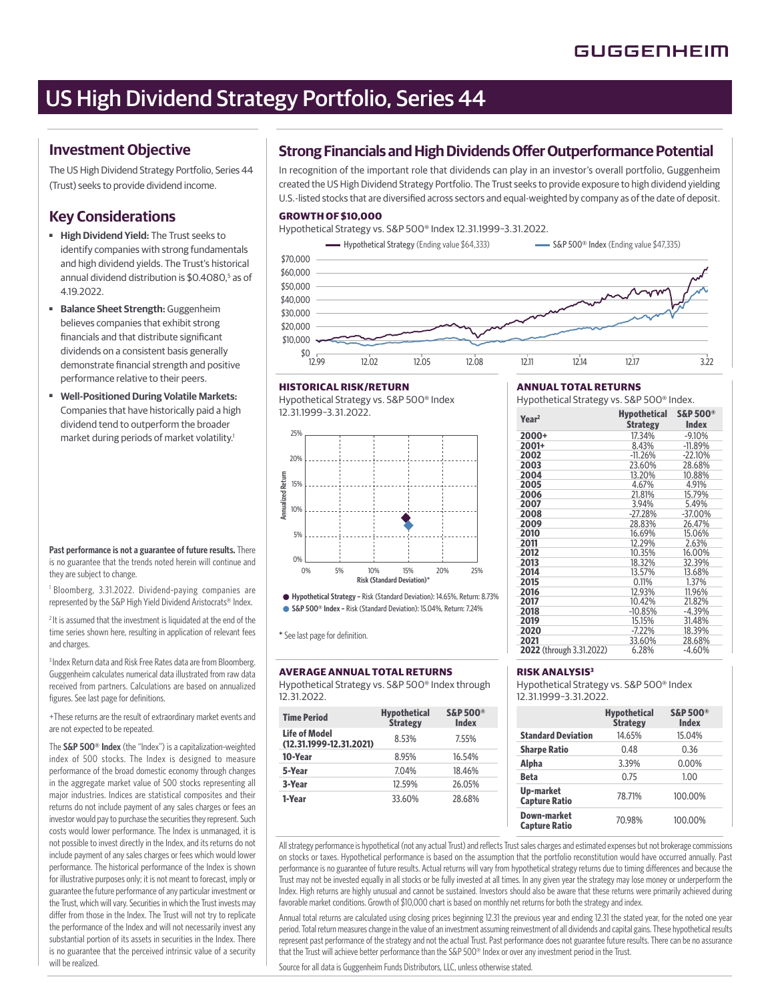# US High Dividend Strategy Portfolio, Series 44

# **Investment Objective**

The US High Dividend Strategy Portfolio, Series 44 (Trust) seeks to provide dividend income.

# **Key Considerations**

- ■ **High Dividend Yield:** The Trust seeks to identify companies with strong fundamentals and high dividend yields. The Trust's historical annual dividend distribution is \$0.4080,<sup>5</sup> as of 4.19.2022.
- ■ **Balance Sheet Strength:** Guggenheim believes companies that exhibit strong financials and that distribute significant dividends on a consistent basis generally demonstrate financial strength and positive performance relative to their peers.
- **Well-Positioned During Volatile Markets:** Companies that have historically paid a high dividend tend to outperform the broader market during periods of market volatility.1

**Past performance is not a guarantee of future results.** There is no guarantee that the trends noted herein will continue and they are subject to change.

1 Bloomberg, 3.31.2022. Dividend-paying companies are represented by the S&P High Yield Dividend Aristocrats® Index.

<sup>2</sup> It is assumed that the investment is liquidated at the end of the time series shown here, resulting in application of relevant fees and charges.

<sup>3</sup> Index Return data and Risk Free Rates data are from Bloomberg. Guggenheim calculates numerical data illustrated from raw data received from partners. Calculations are based on annualized figures. See last page for definitions.

+These returns are the result of extraordinary market events and are not expected to be repeated.

The **S&P 500® Index** (the "Index") is a capitalization-weighted index of 500 stocks. The Index is designed to measure performance of the broad domestic economy through changes in the aggregate market value of 500 stocks representing all major industries. Indices are statistical composites and their returns do not include payment of any sales charges or fees an investor would pay to purchase the securities they represent. Such costs would lower performance. The Index is unmanaged, it is not possible to invest directly in the Index, and its returns do not include payment of any sales charges or fees which would lower performance. The historical performance of the Index is shown for illustrative purposes only; it is not meant to forecast, imply or guarantee the future performance of any particular investment or the Trust, which will vary. Securities in which the Trust invests may differ from those in the Index. The Trust will not try to replicate the performance of the Index and will not necessarily invest any substantial portion of its assets in securities in the Index. There is no guarantee that the perceived intrinsic value of a security will be realized.

# **Strong Financials and High Dividends Offer Outperformance Potential**

In recognition of the important role that dividends can play in an investor's overall portfolio, Guggenheim created the US High Dividend Strategy Portfolio. The Trust seeks to provide exposure to high dividend yielding U.S.-listed stocks that are diversified across sectors and equal-weighted by company as of the date of deposit.

## **GROWTH OF \$10,000**

Hypothetical Strategy vs. S&P 500® Index 12.31.1999–3.31.2022.

Hypothetical Strategy (Ending value \$64,333) Same S&P 500® Index (Ending value \$47,335)  $$^{0}$  T<sub>12.99</sub> \$10,000 \$20,000 \$30,000 \$40,000 \$50,000 \$60,000 \$70,000 12.99 12.02 12.05 12.08 12.11 12.14 12.17 3.22

#### **HISTORICAL RISK/RETURN**

Hypothetical Strategy vs. S&P 500® Index 12.31.1999–3.31.2022.



**Hypothetical Strategy –** Risk (Standard Deviation): 14.65%, Return: 8.73% **S&P 500® Index –** Risk (Standard Deviation): 15.04%, Return: 7.24%

\* See last page for definition.

## **AVERAGE ANNUAL TOTAL RETURNS**

Hypothetical Strategy vs. S&P 500® Index through 12.31.2022.

| <b>Time Period</b>                                  | <b>Hypothetical</b><br><b>Strategy</b> | <b>S&amp;P 500®</b><br><b>Index</b> |
|-----------------------------------------------------|----------------------------------------|-------------------------------------|
| <b>Life of Model</b><br>$(12.31.1999 - 12.31.2021)$ | 8.53%                                  | 7.55%                               |
| 10-Year                                             | 8.95%                                  | 16.54%                              |
| 5-Year                                              | 7.04%                                  | 18.46%                              |
| 3-Year                                              | 12.59%                                 | 26.05%                              |
| 1-Year                                              | 33.60%                                 | 28.68%                              |

## **ANNUAL TOTAL RETURNS**

Hypothetical Strategy vs. S&P 500® Index.

| Year <sup>2</sup>        | Hypothetical<br><b>Strategy</b> | <b>S&amp;P 500®</b><br><b>Index</b> |
|--------------------------|---------------------------------|-------------------------------------|
| 2000+                    | 17.34%                          | $-9.10%$                            |
| 2001+                    | 8.43%                           | $-11.89%$                           |
| 2002                     | $-11.26%$                       | $-22.10%$                           |
| 2003                     | 23.60%                          | 28.68%                              |
| 2004                     | 13.20%                          | 10.88%                              |
| 2005                     | 4.67%                           | 4.91%                               |
| 2006                     | 21.81%                          | 15.79%                              |
| 2007                     | 3.94%                           | 5.49%                               |
| 2008                     | $-27.28%$                       | $-37.00\%$                          |
| 2009                     | 28.83%                          | 26.47%                              |
| 2010                     | 16.69%                          | 15.06%                              |
| 2011                     | 12.29%                          | 2.63%                               |
| 2012                     | 10.35%                          | 16.00%                              |
| 2013                     | 18.32%                          | 32.39%                              |
| 2014                     | 13.57%                          | 13.68%                              |
| 2015                     | 0.11%                           | 1.37%                               |
| 2016                     | 12.93%                          | 11.96%                              |
| 2017                     | 10.42%                          | 21.82%                              |
| 2018                     | $-10.85%$                       | $-4.39%$                            |
| 2019                     | 15.15%                          | 31.48%                              |
| 2020                     | $-7.22%$                        | 18.39%                              |
| 2021                     | 33.60%                          | 28.68%                              |
| 2022 (through 3.31.2022) | 6.28%                           | $-4.60%$                            |

## **RISK ANALYSIS3**

Hypothetical Strategy vs. S&P 500® Index 12.31.1999–3.31.2022.

|                                     | <b>Hypothetical</b><br><b>Strategy</b> | <b>S&amp;P 500®</b><br><b>Index</b> |
|-------------------------------------|----------------------------------------|-------------------------------------|
| <b>Standard Deviation</b>           | 14.65%                                 | 15.04%                              |
| <b>Sharpe Ratio</b>                 | 0.48                                   | 0.36                                |
| Alpha                               | 3.39%                                  | $0.00\%$                            |
| <b>Beta</b>                         | 0.75                                   | 1.00                                |
| Up-market<br><b>Capture Ratio</b>   | 78.71%                                 | 100.00%                             |
| Down-market<br><b>Capture Ratio</b> | 70.98%                                 | 100.00%                             |

All strategy performance is hypothetical (not any actual Trust) and reflects Trust sales charges and estimated expenses but not brokerage commissions on stocks or taxes. Hypothetical performance is based on the assumption that the portfolio reconstitution would have occurred annually. Past performance is no guarantee of future results. Actual returns will vary from hypothetical strategy returns due to timing differences and because the Trust may not be invested equally in all stocks or be fully invested at all times. In any given year the strategy may lose money or underperform the Index. High returns are highly unusual and cannot be sustained. Investors should also be aware that these returns were primarily achieved during favorable market conditions. Growth of \$10,000 chart is based on monthly net returns for both the strategy and index.

Annual total returns are calculated using closing prices beginning 12.31 the previous year and ending 12.31 the stated year, for the noted one year period. Total return measures change in the value of an investment assuming reinvestment of all dividends and capital gains. These hypothetical results represent past performance of the strategy and not the actual Trust. Past performance does not guarantee future results. There can be no assurance that the Trust will achieve better performance than the S&P 500® Index or over any investment period in the Trust.

Source for all data is Guggenheim Funds Distributors, LLC, unless otherwise stated.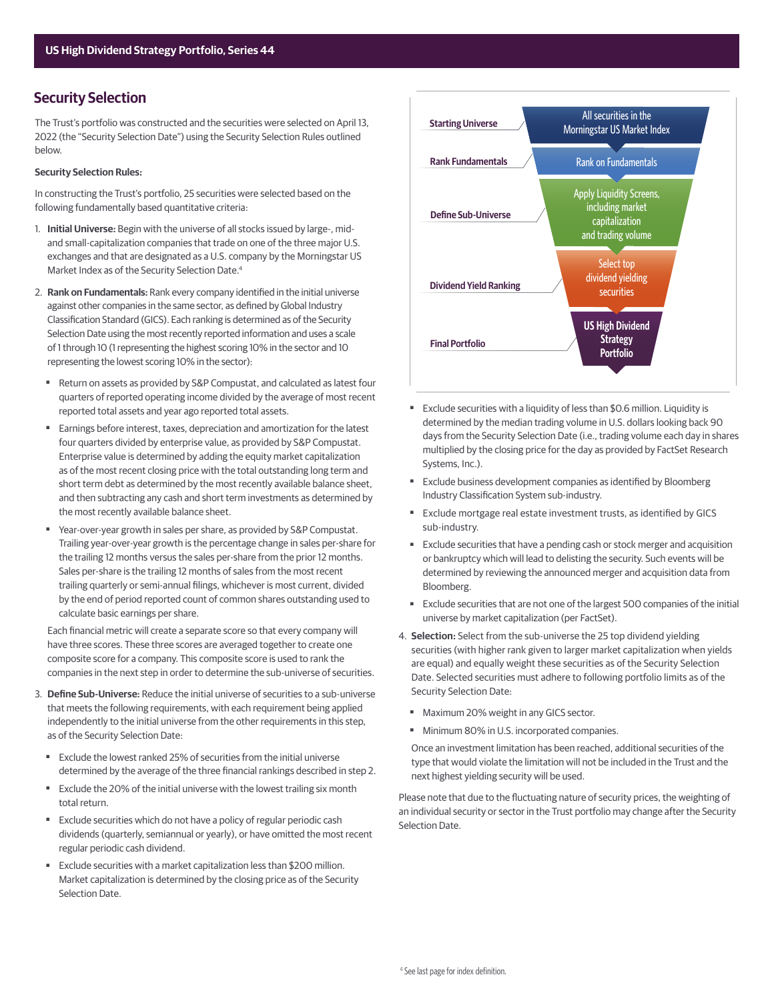# **Security Selection**

The Trust's portfolio was constructed and the securities were selected on April 13, 2022 (the "Security Selection Date") using the Security Selection Rules outlined below.

#### **Security Selection Rules:**

In constructing the Trust's portfolio, 25 securities were selected based on the following fundamentally based quantitative criteria:

- 1. **Initial Universe:** Begin with the universe of all stocks issued by large-, midand small-capitalization companies that trade on one of the three major U.S. exchanges and that are designated as a U.S. company by the Morningstar US Market Index as of the Security Selection Date.4
- 2. Rank on Fundamentals: Rank every company identified in the initial universe against other companies in the same sector, as defined by Global Industry Classification Standard (GICS). Each ranking is determined as of the Security Selection Date using the most recently reported information and uses a scale of 1 through 10 (1 representing the highest scoring 10% in the sector and 10 representing the lowest scoring 10% in the sector):
	- Return on assets as provided by S&P Compustat, and calculated as latest four quarters of reported operating income divided by the average of most recent reported total assets and year ago reported total assets.
	- Earnings before interest, taxes, depreciation and amortization for the latest four quarters divided by enterprise value, as provided by S&P Compustat. Enterprise value is determined by adding the equity market capitalization as of the most recent closing price with the total outstanding long term and short term debt as determined by the most recently available balance sheet, and then subtracting any cash and short term investments as determined by the most recently available balance sheet.
	- Year-over-year growth in sales per share, as provided by S&P Compustat. Trailing year-over-year growth is the percentage change in sales per-share for the trailing 12 months versus the sales per-share from the prior 12 months. Sales per-share is the trailing 12 months of sales from the most recent trailing quarterly or semi-annual filings, whichever is most current, divided by the end of period reported count of common shares outstanding used to calculate basic earnings per share.

Each financial metric will create a separate score so that every company will have three scores. These three scores are averaged together to create one composite score for a company. This composite score is used to rank the companies in the next step in order to determine the sub-universe of securities.

- 3. **Define Sub-Universe:** Reduce the initial universe of securities to a sub-universe that meets the following requirements, with each requirement being applied independently to the initial universe from the other requirements in this step, as of the Security Selection Date:
	- Exclude the lowest ranked 25% of securities from the initial universe determined by the average of the three financial rankings described in step 2.
	- Exclude the 20% of the initial universe with the lowest trailing six month total return.
	- Exclude securities which do not have a policy of regular periodic cash dividends (quarterly, semiannual or yearly), or have omitted the most recent regular periodic cash dividend.
	- Exclude securities with a market capitalization less than \$200 million. Market capitalization is determined by the closing price as of the Security Selection Date.



- Exclude securities with a liquidity of less than \$0.6 million. Liquidity is determined by the median trading volume in U.S. dollars looking back 90 days from the Security Selection Date (i.e., trading volume each day in shares multiplied by the closing price for the day as provided by FactSet Research Systems, Inc.).
- Exclude business development companies as identified by Bloomberg Industry Classification System sub-industry.
- Exclude mortgage real estate investment trusts, as identified by GICS sub-industry.
- Exclude securities that have a pending cash or stock merger and acquisition or bankruptcy which will lead to delisting the security. Such events will be determined by reviewing the announced merger and acquisition data from Bloomberg.
- Exclude securities that are not one of the largest 500 companies of the initial universe by market capitalization (per FactSet).
- 4. **Selection:** Select from the sub-universe the 25 top dividend yielding securities (with higher rank given to larger market capitalization when yields are equal) and equally weight these securities as of the Security Selection Date. Selected securities must adhere to following portfolio limits as of the Security Selection Date:
	- Maximum 20% weight in any GICS sector.
	- Minimum 80% in U.S. incorporated companies.

 Once an investment limitation has been reached, additional securities of the type that would violate the limitation will not be included in the Trust and the next highest yielding security will be used.

Please note that due to the fluctuating nature of security prices, the weighting of an individual security or sector in the Trust portfolio may change after the Security Selection Date.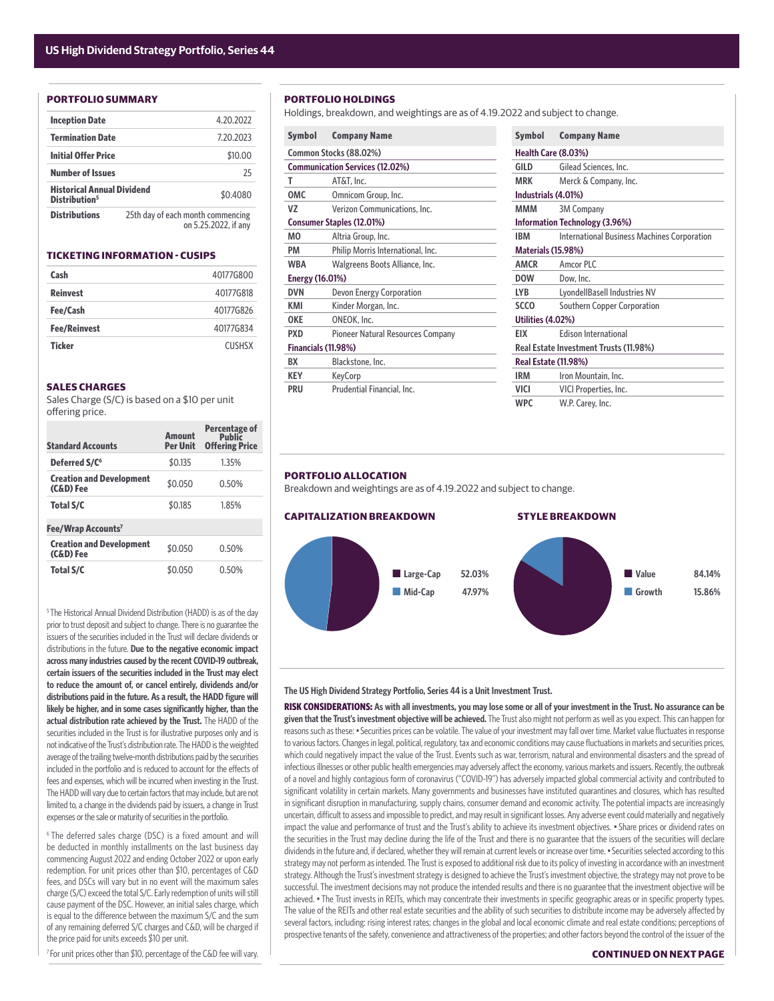#### **PORTFOLIO SUMMARY**

| <b>Inception Date</b>                                          |  | 4.20.2022                                                 |
|----------------------------------------------------------------|--|-----------------------------------------------------------|
| <b>Termination Date</b>                                        |  | 7.20.2023                                                 |
| <b>Initial Offer Price</b>                                     |  | \$10.00                                                   |
| <b>Number of Issues</b>                                        |  | 25                                                        |
| <b>Historical Annual Dividend</b><br>Distribution <sup>5</sup> |  | \$0,4080                                                  |
| <b>Distributions</b>                                           |  | 25th day of each month commencing<br>on 5.25.2022, if any |

#### **TICKETING INFORMATION - CUSIPS**

| Cash                | 40177G800     |
|---------------------|---------------|
| <b>Reinvest</b>     | 40177G818     |
| Fee/Cash            | 40177G826     |
| <b>Fee/Reinvest</b> | 40177G834     |
| <b>Ticker</b>       | <b>CUSHSX</b> |

#### **SALES CHARGES**

Sales Charge (S/C) is based on a \$10 per unit offering price.

| <b>Standard Accounts</b>                     | Amount<br><b>Per Unit</b> | Percentage of<br><b>Public</b><br><b>Offering Price</b> |
|----------------------------------------------|---------------------------|---------------------------------------------------------|
| Deferred S/C <sup>6</sup>                    | \$0.135                   | 1.35%                                                   |
| <b>Creation and Development</b><br>(C&D) Fee | \$0.050                   | 0.50%                                                   |
| <b>Total S/C</b>                             | \$0.185                   | 1.85%                                                   |
| Fee/Wrap Accounts <sup>7</sup>               |                           |                                                         |
| <b>Creation and Development</b><br>(C&D) Fee | \$0.050                   | 0.50%                                                   |
| <b>Total S/C</b>                             | \$0.050                   | 0.50%                                                   |

<sup>5</sup> The Historical Annual Dividend Distribution (HADD) is as of the day prior to trust deposit and subject to change. There is no guarantee the issuers of the securities included in the Trust will declare dividends or distributions in the future. **Due to the negative economic impact across many industries caused by the recent COVID-19 outbreak, certain issuers of the securities included in the Trust may elect to reduce the amount of, or cancel entirely, dividends and/or**  distributions paid in the future. As a result, the HADD figure will likely be higher, and in some cases significantly higher, than the **actual distribution rate achieved by the Trust.** The HADD of the securities included in the Trust is for illustrative purposes only and is not indicative of the Trust's distribution rate. The HADD is the weighted average of the trailing twelve-month distributions paid by the securities included in the portfolio and is reduced to account for the effects of fees and expenses, which will be incurred when investing in the Trust. The HADD will vary due to certain factors that may include, but are not limited to, a change in the dividends paid by issuers, a change in Trust expenses or the sale or maturity of securities in the portfolio.

6 The deferred sales charge (DSC) is a fixed amount and will be deducted in monthly installments on the last business day commencing August 2022 and ending October 2022 or upon early redemption. For unit prices other than \$10, percentages of C&D fees, and DSCs will vary but in no event will the maximum sales charge (S/C) exceed the total S/C. Early redemption of units will still cause payment of the DSC. However, an initial sales charge, which is equal to the difference between the maximum S/C and the sum of any remaining deferred S/C charges and C&D, will be charged if the price paid for units exceeds \$10 per unit.

<sup>7</sup> For unit prices other than \$10, percentage of the C&D fee will vary.

### **PORTFOLIO HOLDINGS**

Holdings, breakdown, and weightings are as of 4.19.2022 and subject to change.

| <b>Symbol</b>          | <b>Company Name</b>                    | <b>Symbol</b> | <b>Company Name</b>                  |  |
|------------------------|----------------------------------------|---------------|--------------------------------------|--|
|                        | Common Stocks (88.02%)                 |               | Health Care (8.03%)                  |  |
|                        | <b>Communication Services (12.02%)</b> | GILD          | Gilead Sciences, In                  |  |
| т                      | AT&T, Inc.                             | <b>MRK</b>    | Merck & Company                      |  |
| OMC                    | Omnicom Group, Inc.                    |               | Industrials (4.01%)                  |  |
| VZ                     | Verizon Communications, Inc.           | MMM           | <b>3M Company</b>                    |  |
|                        | Consumer Staples (12.01%)              |               | <b>Information Technology (3.96</b>  |  |
| MО                     | Altria Group, Inc.                     | <b>IBM</b>    | <b>International Busi</b>            |  |
| PM                     | Philip Morris International, Inc.      |               | <b>Materials (15.98%)</b>            |  |
| <b>WBA</b>             | Walgreens Boots Alliance, Inc.         | <b>AMCR</b>   | Amcor PLC                            |  |
| <b>Energy (16.01%)</b> |                                        | <b>DOW</b>    | Dow, Inc.                            |  |
| <b>DVN</b>             | Devon Energy Corporation               | <b>LYB</b>    | LyondellBasell Ind                   |  |
| KMI                    | Kinder Morgan, Inc.                    | <b>SCCO</b>   | Southern Copper                      |  |
| <b>OKE</b>             | ONEOK, Inc.                            |               | Utilities (4.02%)                    |  |
| <b>PXD</b>             | Pioneer Natural Resources Company      | EIX           | <b>Edison Internation</b>            |  |
| Financials (11.98%)    |                                        |               | <b>Real Estate Investment Trusts</b> |  |
| BX                     | Blackstone, Inc.                       |               | <b>Real Estate (11.98%)</b>          |  |
| <b>KEY</b>             | KeyCorp                                | <b>IRM</b>    | Iron Mountain, Ind                   |  |
| PRU                    | Prudential Financial, Inc.             | VICI          | <b>VICI Properties, In</b>           |  |
|                        |                                        |               |                                      |  |

| Symbol                                 | <b>Company Name</b>                                |  |  |
|----------------------------------------|----------------------------------------------------|--|--|
|                                        | Health Care (8.03%)                                |  |  |
| GILD                                   | Gilead Sciences, Inc.                              |  |  |
| <b>MRK</b>                             | Merck & Company, Inc.                              |  |  |
| Industrials (4.01%)                    |                                                    |  |  |
| ммм                                    | <b>3M Company</b>                                  |  |  |
| <b>Information Technology (3.96%)</b>  |                                                    |  |  |
| <b>IRM</b>                             | <b>International Business Machines Corporation</b> |  |  |
|                                        | <b>Materials (15.98%)</b>                          |  |  |
| <b>AMCR</b>                            | Amcor PLC                                          |  |  |
| <b>DOW</b>                             | Dow. Inc.                                          |  |  |
| LYB                                    | LyondellBasell Industries NV                       |  |  |
| <b>SCCO</b>                            | Southern Copper Corporation                        |  |  |
| Utilities (4.02%)                      |                                                    |  |  |
| EIX                                    | <b>Edison International</b>                        |  |  |
| Real Estate Investment Trusts (11.98%) |                                                    |  |  |
| <b>Real Estate (11.98%)</b>            |                                                    |  |  |
| <b>IRM</b>                             | Iron Mountain, Inc.                                |  |  |
| VICI                                   | VICI Properties, Inc.                              |  |  |
| <b>WPC</b>                             | W.P. Carey, Inc.                                   |  |  |

#### **PORTFOLIO ALLOCATION**

Breakdown and weightings are as of 4.19.2022 and subject to change.



#### **The US High Dividend Strategy Portfolio, Series 44 is a Unit Investment Trust.**

**RISK CONSIDERATIONS: As with all investments, you may lose some or all of your investment in the Trust. No assurance can be given that the Trust's investment objective will be achieved.** The Trust also might not perform as well as you expect. This can happen for reasons such as these: • Securities prices can be volatile. The value of your investment may fall over time. Market value fluctuates in response to various factors. Changes in legal, political, regulatory, tax and economic conditions may cause fluctuations in markets and securities prices, which could negatively impact the value of the Trust. Events such as war, terrorism, natural and environmental disasters and the spread of infectious illnesses or other public health emergencies may adversely affect the economy, various markets and issuers. Recently, the outbreak of a novel and highly contagious form of coronavirus ("COVID-19") has adversely impacted global commercial activity and contributed to significant volatility in certain markets. Many governments and businesses have instituted quarantines and closures, which has resulted in significant disruption in manufacturing, supply chains, consumer demand and economic activity. The potential impacts are increasingly uncertain, difficult to assess and impossible to predict, and may result in significant losses. Any adverse event could materially and negatively impact the value and performance of trust and the Trust's ability to achieve its investment objectives. • Share prices or dividend rates on the securities in the Trust may decline during the life of the Trust and there is no guarantee that the issuers of the securities will declare dividends in the future and, if declared, whether they will remain at current levels or increase over time. • Securities selected according to this strategy may not perform as intended. The Trust is exposed to additional risk due to its policy of investing in accordance with an investment strategy. Although the Trust's investment strategy is designed to achieve the Trust's investment objective, the strategy may not prove to be successful. The investment decisions may not produce the intended results and there is no guarantee that the investment objective will be achieved. • The Trust invests in REITs, which may concentrate their investments in specific geographic areas or in specific property types. The value of the REITs and other real estate securities and the ability of such securities to distribute income may be adversely affected by several factors, including: rising interest rates; changes in the global and local economic climate and real estate conditions; perceptions of prospective tenants of the safety, convenience and attractiveness of the properties; and other factors beyond the control of the issuer of the

#### **CONTINUED ON NEXT PAGE**